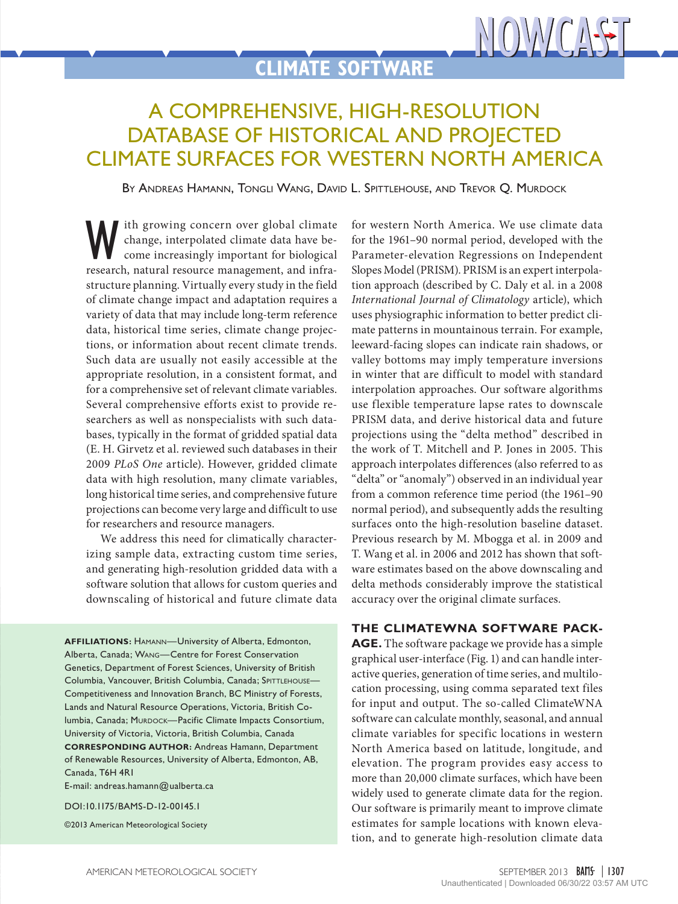# **CLIMATE SOFTWARE**

## A Comprehensive, High-Resolution DATABASE OF HISTORICAL AND PROJECTED Climate Surfaces for Western North America

By Andreas Hamann, Tongli Wang, David L. Spittlehouse, and Trevor Q. Murdock

W ith growing concern over global climate<br>change, interpolated climate data have be-<br>come increasingly important for biological<br>research natural resource management and infrachange, interpolated climate data have become increasingly important for biological research, natural resource management, and infrastructure planning. Virtually every study in the field of climate change impact and adaptation requires a variety of data that may include long-term reference data, historical time series, climate change projections, or information about recent climate trends. Such data are usually not easily accessible at the appropriate resolution, in a consistent format, and for a comprehensive set of relevant climate variables. Several comprehensive efforts exist to provide researchers as well as nonspecialists with such databases, typically in the format of gridded spatial data (E. H. Girvetz et al. reviewed such databases in their 2009 *PLoS One* article). However, gridded climate data with high resolution, many climate variables, long historical time series, and comprehensive future projections can become very large and difficult to use for researchers and resource managers.

We address this need for climatically characterizing sample data, extracting custom time series, and generating high-resolution gridded data with a software solution that allows for custom queries and downscaling of historical and future climate data

**AFFILIATIONS:** Hamann—University of Alberta, Edmonton, Alberta, Canada; Wang—Centre for Forest Conservation Genetics, Department of Forest Sciences, University of British Columbia, Vancouver, British Columbia, Canada; SPITTLEHOUSE-Competitiveness and Innovation Branch, BC Ministry of Forests, Lands and Natural Resource Operations, Victoria, British Columbia, Canada; MURDOCK-Pacific Climate Impacts Consortium, University of Victoria, Victoria, British Columbia, Canada **CORRESPONDING AUTHOR:** Andreas Hamann, Department of Renewable Resources, University of Alberta, Edmonton, AB, Canada, T6H 4R1

E-mail: [andreas.hamann@ualberta.ca](mailto:andreas.hamann%40ualberta.ca?subject=)

DOI:10.1175/BAMS-D-12-00145.1

©2013 American Meteorological Society

for western North America. We use climate data for the 1961–90 normal period, developed with the Parameter-elevation Regressions on Independent Slopes Model (PRISM). PRISM is an expert interpolation approach (described by C. Daly et al. in a 2008 *International Journal of Climatology* article), which uses physiographic information to better predict climate patterns in mountainous terrain. For example, leeward-facing slopes can indicate rain shadows, or valley bottoms may imply temperature inversions in winter that are difficult to model with standard interpolation approaches. Our software algorithms use flexible temperature lapse rates to downscale PRISM data, and derive historical data and future projections using the "delta method" described in the work of T. Mitchell and P. Jones in 2005. This approach interpolates differences (also referred to as "delta" or "anomaly") observed in an individual year from a common reference time period (the 1961–90 normal period), and subsequently adds the resulting surfaces onto the high-resolution baseline dataset. Previous research by M. Mbogga et al. in 2009 and T. Wang et al. in 2006 and 2012 has shown that software estimates based on the above downscaling and delta methods considerably improve the statistical accuracy over the original climate surfaces.

NOWCAST

#### **The ClimateWNA software pack-**

AGE. The software package we provide has a simple graphical user-interface (Fig. 1) and can handle interactive queries, generation of time series, and multilocation processing, using comma separated text files for input and output. The so-called ClimateWNA software can calculate monthly, seasonal, and annual climate variables for specific locations in western North America based on latitude, longitude, and elevation. The program provides easy access to more than 20,000 climate surfaces, which have been widely used to generate climate data for the region. Our software is primarily meant to improve climate estimates for sample locations with known elevation, and to generate high-resolution climate data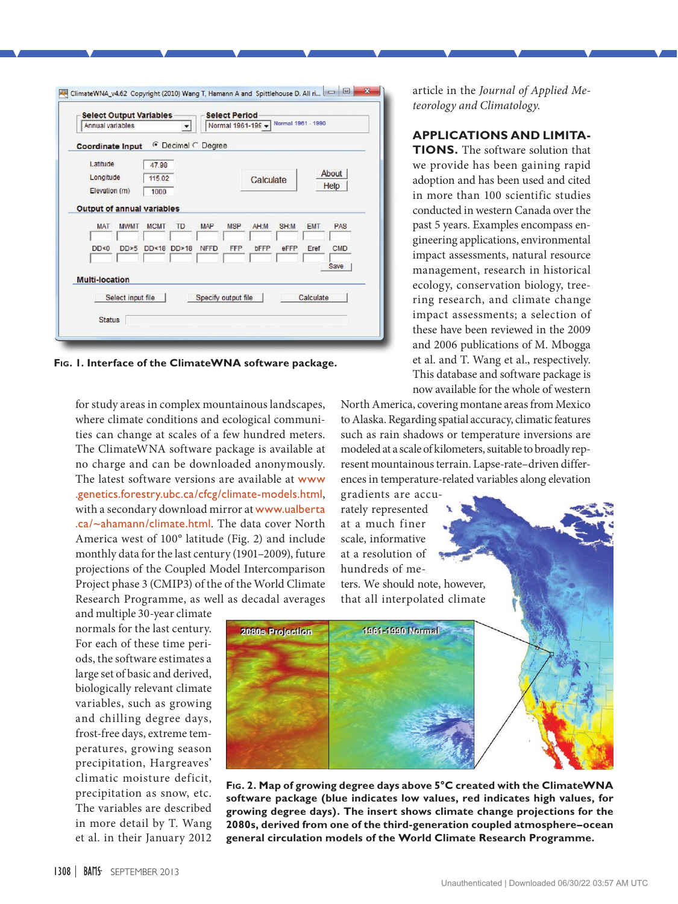| <b>Coordinate Input</b>           |                   |             |           | © Decimal C Degree |                     |             |      |            |            |  |
|-----------------------------------|-------------------|-------------|-----------|--------------------|---------------------|-------------|------|------------|------------|--|
| Latitude                          |                   | 47.98       |           |                    |                     |             |      |            |            |  |
| Longitude<br>115.02               |                   |             |           | <b>Calculate</b>   |                     |             |      | About      |            |  |
| Elevation (m)<br>1000             |                   |             |           |                    |                     |             |      |            | Help       |  |
| <b>Output of annual variables</b> |                   |             |           |                    |                     |             |      |            |            |  |
| <b>MAT</b>                        | <b>MWMT</b>       | <b>MCMT</b> | <b>TD</b> | <b>MAP</b>         | <b>MSP</b>          | AH:M        | SH:M | <b>EMT</b> | PAS        |  |
| DD < 0                            | DD>5              | DD < 18     | DD>18     | <b>NFFD</b>        | <b>FFP</b>          | <b>bFFP</b> | eFFP | Eref       | <b>CMD</b> |  |
|                                   |                   |             |           |                    |                     |             |      |            | Save       |  |
| <b>Multi-location</b>             |                   |             |           |                    |                     |             |      |            |            |  |
|                                   | Select input file |             |           |                    | Specify output file |             |      | Calculate  |            |  |

**Fig. 1. Interface of the ClimateWNA software package.**

for study areas in complex mountainous landscapes, where climate conditions and ecological communities can change at scales of a few hundred meters. The ClimateWNA software package is available at no charge and can be downloaded anonymously. The latest software versions are available at [www](http://www.genetics.forestry.ubc.ca/cfcg/climate-models.html) [.genetics.forestry.ubc.ca/cfcg/climate-models.html](http://www.genetics.forestry.ubc.ca/cfcg/climate-models.html), with a secondary download mirror at [www.ualberta](http://www.ualberta.ca/~ahamann/climate.html) [.ca/~ahamann/climate.html](http://www.ualberta.ca/~ahamann/climate.html). The data cover North America west of 100° latitude (Fig. 2) and include monthly data for the last century (1901–2009), future projections of the Coupled Model Intercomparison Project phase 3 (CMIP3) of the of the World Climate Research Programme, as well as decadal averages

and multiple 30-year climate normals for the last century. For each of these time periods, the software estimates a large set of basic and derived, biologically relevant climate variables, such as growing and chilling degree days, frost-free days, extreme temperatures, growing season precipitation, Hargreaves' climatic moisture deficit, precipitation as snow, etc. The variables are described in more detail by T. Wang et al. in their January 2012

article in the *Journal of Applied Meteorology and Climatology.*

### **Applications and Limita-**

**TIONS.** The software solution that we provide has been gaining rapid adoption and has been used and cited in more than 100 scientific studies conducted in western Canada over the past 5 years. Examples encompass engineering applications, environmental impact assessments, natural resource management, research in historical ecology, conservation biology, treering research, and climate change impact assessments; a selection of these have been reviewed in the 2009 and 2006 publications of M. Mbogga et al. and T. Wang et al., respectively. This database and software package is now available for the whole of western

North America, covering montane areas from Mexico to Alaska. Regarding spatial accuracy, climatic features such as rain shadows or temperature inversions are modeled at a scale of kilometers, suitable to broadly represent mountainous terrain. Lapse-rate–driven differences in temperature-related variables along elevation

gradients are accurately represented at a much finer scale, informative at a resolution of hundreds of me-

ters. We should note, however, that all interpolated climate



**Fig. 2. Map of growing degree days above 5°C created with the ClimateWNA software package (blue indicates low values, red indicates high values, for growing degree days). The insert shows climate change projections for the 2080s, derived from one of the third-generation coupled atmosphere–ocean general circulation models of the World Climate Research Programme.**